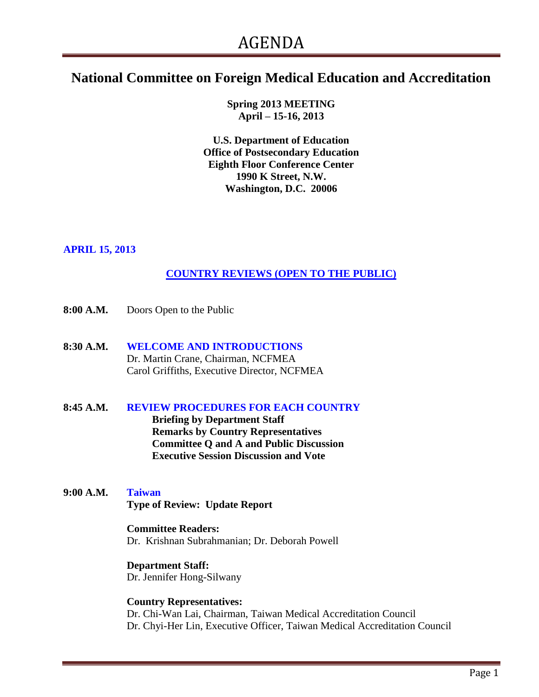# **National Committee on Foreign Medical Education and Accreditation**

**Spring 2013 MEETING April – 15-16, 2013**

**U.S. Department of Education Office of Postsecondary Education Eighth Floor Conference Center 1990 K Street, N.W. Washington, D.C. 20006**

#### **APRIL 15, 2013**

### **COUNTRY REVIEWS (OPEN TO THE PUBLIC)**

- **8:00 A.M.** Doors Open to the Public
- **8:30 A.M. WELCOME AND INTRODUCTIONS** Dr. Martin Crane, Chairman, NCFMEA Carol Griffiths, Executive Director, NCFMEA

# **8:45 A.M. REVIEW PROCEDURES FOR EACH COUNTRY Briefing by Department Staff**

**Remarks by Country Representatives Committee Q and A and Public Discussion Executive Session Discussion and Vote**

**9:00 A.M. Taiwan Type of Review: Update Report**

#### **Committee Readers:** Dr. Krishnan Subrahmanian; Dr. Deborah Powell

**Department Staff:** Dr. Jennifer Hong-Silwany

#### **Country Representatives:** Dr. Chi-Wan Lai, Chairman, Taiwan Medical Accreditation Council Dr. Chyi-Her Lin, Executive Officer, Taiwan Medical Accreditation Council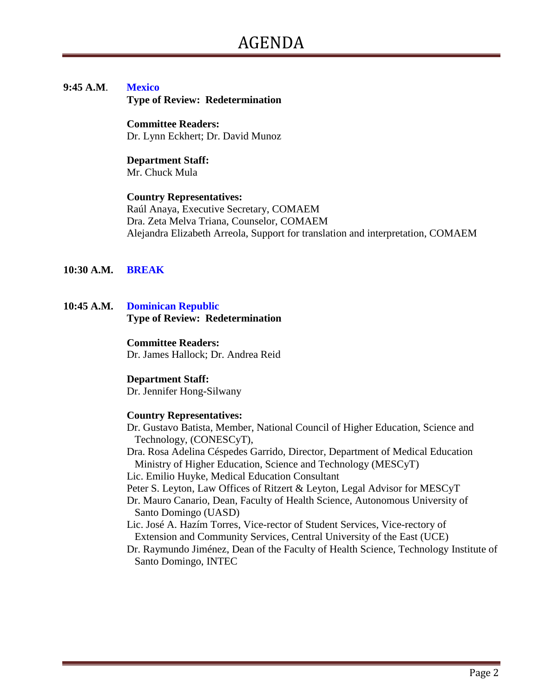## **9:45 A.M**. **Mexico**

**Type of Review: Redetermination** 

**Committee Readers:** Dr. Lynn Eckhert; Dr. David Munoz

**Department Staff:** Mr. Chuck Mula

#### **Country Representatives:**

Raúl Anaya, Executive Secretary, COMAEM Dra. Zeta Melva Triana, Counselor, COMAEM Alejandra Elizabeth Arreola, Support for translation and interpretation, COMAEM

#### **10:30 A.M. BREAK**

**10:45 A.M. Dominican Republic Type of Review: Redetermination**

#### **Committee Readers:**

Dr. James Hallock; Dr. Andrea Reid

#### **Department Staff:**

Dr. Jennifer Hong-Silwany

#### **Country Representatives:**

- Dr. Gustavo Batista, Member, National Council of Higher Education, Science and Technology, (CONESCyT),
- Dra. Rosa Adelina Céspedes Garrido, Director, Department of Medical Education Ministry of Higher Education, Science and Technology (MESCyT)

Lic. Emilio Huyke, Medical Education Consultant

Peter S. Leyton, Law Offices of Ritzert & Leyton, Legal Advisor for MESCyT

- Dr. Mauro Canario, Dean, Faculty of Health Science, Autonomous University of Santo Domingo (UASD)
- Lic. José A. Hazím Torres, Vice-rector of Student Services, Vice-rectory of Extension and Community Services, Central University of the East (UCE)
- Dr. Raymundo Jiménez, Dean of the Faculty of Health Science, Technology Institute of Santo Domingo, INTEC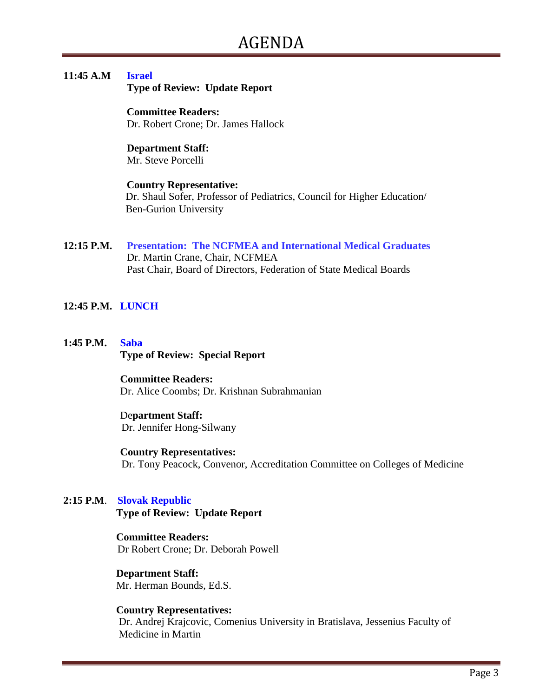#### **11:45 A.M Israel**

 **Type of Review: Update Report**

 **Committee Readers:** Dr. Robert Crone; Dr. James Hallock

**Department Staff:** Mr. Steve Porcelli

#### **Country Representative:** Dr. Shaul Sofer, Professor of Pediatrics, Council for Higher Education/ Ben-Gurion University

**12:15 P.M. Presentation: The NCFMEA and International Medical Graduates** Dr. Martin Crane, Chair, NCFMEA Past Chair, Board of Directors, Federation of State Medical Boards

#### **12:45 P.M. LUNCH**

**1:45 P.M. Saba Type of Review: Special Report**

> **Committee Readers:** Dr. Alice Coombs; Dr. Krishnan Subrahmanian

#### De**partment Staff:** Dr. Jennifer Hong-Silwany

 **Country Representatives:** Dr. Tony Peacock, Convenor, Accreditation Committee on Colleges of Medicine

#### **2:15 P.M**. **Slovak Republic**

 **Type of Review: Update Report**

#### **Committee Readers:** Dr Robert Crone; Dr. Deborah Powell

 **Department Staff:**  Mr. Herman Bounds, Ed.S.

 **Country Representatives:** Dr. Andrej Krajcovic, Comenius University in Bratislava, Jessenius Faculty of Medicine in Martin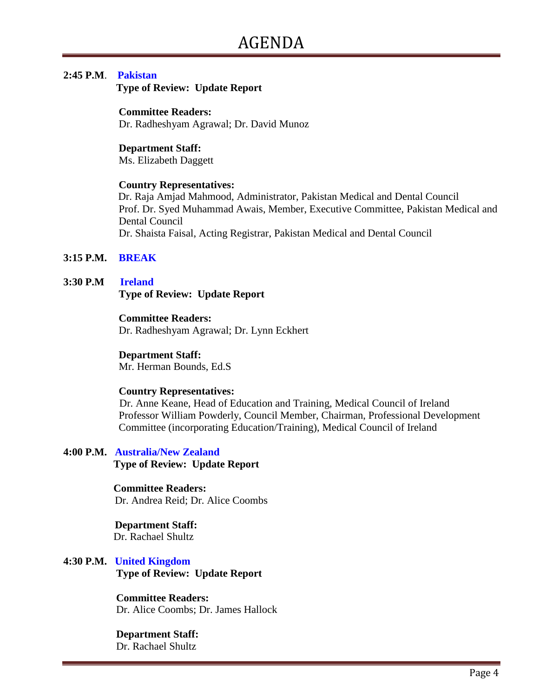#### **2:45 P.M**. **Pakistan**

 **Type of Review: Update Report**

#### **Committee Readers:**

Dr. Radheshyam Agrawal; Dr. David Munoz

#### **Department Staff:**

Ms. Elizabeth Daggett

#### **Country Representatives:**

Dr. Raja Amjad Mahmood, Administrator, Pakistan Medical and Dental Council Prof. Dr. Syed Muhammad Awais, Member, Executive Committee, Pakistan Medical and Dental Council Dr. Shaista Faisal, Acting Registrar, Pakistan Medical and Dental Council

#### **3:15 P.M. BREAK**

#### **3:30 P.M Ireland**

 **Type of Review: Update Report**

#### **Committee Readers:**

Dr. Radheshyam Agrawal; Dr. Lynn Eckhert

#### **Department Staff:**

Mr. Herman Bounds, Ed.S

#### **Country Representatives:**

 Dr. Anne Keane, Head of Education and Training, Medical Council of Ireland Professor William Powderly, Council Member, Chairman, Professional Development Committee (incorporating Education/Training), Medical Council of Ireland

### **4:00 P.M. Australia/New Zealand**

**Type of Review: Update Report**

#### **Committee Readers:**

Dr. Andrea Reid; Dr. Alice Coombs

# **Department Staff:**

Dr. Rachael Shultz

# **4:30 P.M. United Kingdom**

 **Type of Review: Update Report**

#### **Committee Readers:**

Dr. Alice Coombs; Dr. James Hallock

#### **Department Staff:**

Dr. Rachael Shultz